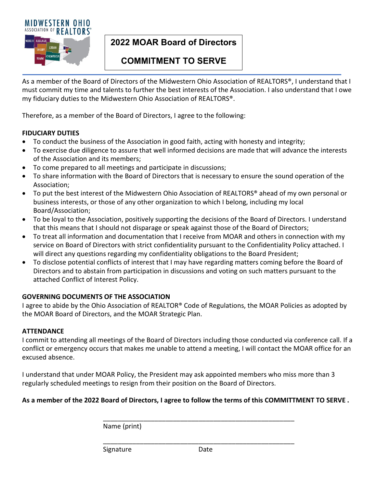

# **2022 MOAR Board of Directors**

# **COMMITMENT TO SERVE**

As a member of the Board of Directors of the Midwestern Ohio Association of REALTORS®, I understand that I must commit my time and talents to further the best interests of the Association. I also understand that I owe my fiduciary duties to the Midwestern Ohio Association of REALTORS®.

Therefore, as a member of the Board of Directors, I agree to the following:

### **FIDUCIARY DUTIES**

- To conduct the business of the Association in good faith, acting with honesty and integrity;
- To exercise due diligence to assure that well informed decisions are made that will advance the interests of the Association and its members;
- To come prepared to all meetings and participate in discussions;
- To share information with the Board of Directors that is necessary to ensure the sound operation of the Association;
- To put the best interest of the Midwestern Ohio Association of REALTORS® ahead of my own personal or business interests, or those of any other organization to which I belong, including my local Board/Association;
- To be loyal to the Association, positively supporting the decisions of the Board of Directors. I understand that this means that I should not disparage or speak against those of the Board of Directors;
- To treat all information and documentation that I receive from MOAR and others in connection with my service on Board of Directors with strict confidentiality pursuant to the Confidentiality Policy attached. I will direct any questions regarding my confidentiality obligations to the Board President;
- To disclose potential conflicts of interest that I may have regarding matters coming before the Board of Directors and to abstain from participation in discussions and voting on such matters pursuant to the attached Conflict of Interest Policy.

## **GOVERNING DOCUMENTS OF THE ASSOCIATION**

I agree to abide by the Ohio Association of REALTOR® Code of Regulations, the MOAR Policies as adopted by the MOAR Board of Directors, and the MOAR Strategic Plan.

#### **ATTENDANCE**

I commit to attending all meetings of the Board of Directors including those conducted via conference call. If a conflict or emergency occurs that makes me unable to attend a meeting, I will contact the MOAR office for an excused absence.

I understand that under MOAR Policy, the President may ask appointed members who miss more than 3 regularly scheduled meetings to resign from their position on the Board of Directors.

## **As a member of the 2022 Board of Directors, I agree to follow the terms of this COMMITTMENT TO SERVE .**

Name (print)

Signature Date

\_\_\_\_\_\_\_\_\_\_\_\_\_\_\_\_\_\_\_\_\_\_\_\_\_\_\_\_\_\_\_\_\_\_\_\_\_\_\_\_\_\_\_\_\_\_\_\_\_\_\_\_

\_\_\_\_\_\_\_\_\_\_\_\_\_\_\_\_\_\_\_\_\_\_\_\_\_\_\_\_\_\_\_\_\_\_\_\_\_\_\_\_\_\_\_\_\_\_\_\_\_\_\_\_